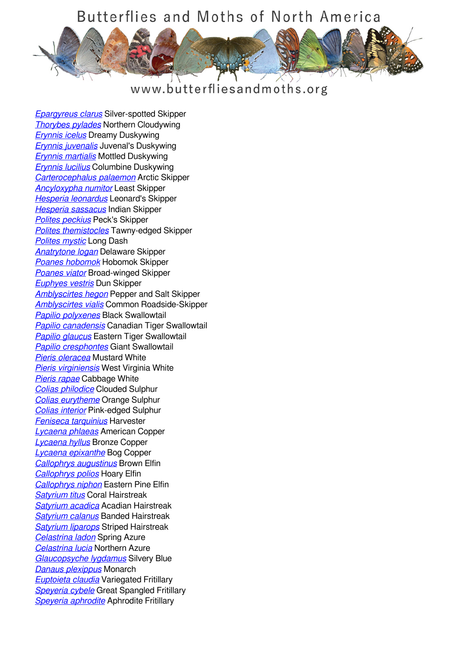## Butterflies and Moths of North America



www.butterfliesandmoths.org

*[Epargyreus clarus](/species/Epargyreus-clarus)* Silver-spotted Skipper *[Thorybes pylades](/species/Thorybes-pylades)* Northern Cloudywing *[Erynnis icelus](/species/Erynnis-icelus)* Dreamy Duskywing *[Erynnis juvenalis](/species/Erynnis-juvenalis)* Juvenal's Duskywing *[Erynnis martialis](/species/Erynnis-martialis)* Mottled Duskywing *[Erynnis lucilius](/species/Erynnis-lucilius)* Columbine Duskywing *[Carterocephalus palaemon](/species/Carterocephalus-palaemon)* Arctic Skipper *[Ancyloxypha numitor](/species/Ancyloxypha-numitor)* Least Skipper *[Hesperia leonardus](/species/Hesperia-leonardus)* Leonard's Skipper *[Hesperia sassacus](/species/Hesperia-sassacus)* Indian Skipper *[Polites peckius](/species/Polites-peckius)* Peck's Skipper *[Polites themistocles](/species/Polites-themistocles)* Tawny-edged Skipper *[Polites mystic](/species/Polites-mystic)* Long Dash *[Anatrytone logan](/species/Anatrytone-logan)* Delaware Skipper *[Poanes hobomok](/species/Poanes-hobomok)* Hobomok Skipper *[Poanes viator](/species/Poanes-viator)* Broad-winged Skipper *[Euphyes vestris](/species/Euphyes-vestris)* Dun Skipper *[Amblyscirtes hegon](/species/Amblyscirtes-hegon)* Pepper and Salt Skipper *[Amblyscirtes vialis](/species/Amblyscirtes-vialis)* Common Roadside-Skipper *[Papilio polyxenes](/species/Papilio-polyxenes)* Black Swallowtail *[Papilio canadensis](/species/Papilio-canadensis)* Canadian Tiger Swallowtail *[Papilio glaucus](/species/Papilio-glaucus)* Eastern Tiger Swallowtail *[Papilio cresphontes](/species/Papilio-cresphontes)* Giant Swallowtail *[Pieris oleracea](/species/Pieris-oleracea)* Mustard White *[Pieris virginiensis](/species/Pieris-virginiensis)* West Virginia White *[Pieris rapae](/species/Pieris-rapae)* Cabbage White *[Colias philodice](/species/Colias-philodice)* Clouded Sulphur *[Colias eurytheme](/species/Colias-eurytheme)* Orange Sulphur *[Colias interior](/species/Colias-interior)* Pink-edged Sulphur *[Feniseca tarquinius](/species/Feniseca-tarquinius)* Harvester *[Lycaena phlaeas](/species/Lycaena-phlaeas)* American Copper *[Lycaena hyllus](/species/Lycaena-hyllus)* Bronze Copper *[Lycaena epixanthe](/species/Lycaena-epixanthe)* Bog Copper *[Callophrys augustinus](/species/Callophrys-augustinus)* Brown Elfin *[Callophrys polios](/species/Callophrys-polios)* Hoary Elfin *[Callophrys niphon](/species/Callophrys-niphon)* Eastern Pine Elfin *[Satyrium titus](/species/Satyrium-titus)* Coral Hairstreak *[Satyrium acadica](/species/Satyrium-acadica)* Acadian Hairstreak *[Satyrium calanus](/species/Satyrium-calanus)* Banded Hairstreak *[Satyrium liparops](/species/Satyrium-liparops)* Striped Hairstreak *[Celastrina ladon](/species/Celastrina-ladon)* Spring Azure *[Celastrina lucia](/species/Celastrina-lucia)* Northern Azure *[Glaucopsyche lygdamus](/species/Glaucopsyche-lygdamus)* Silvery Blue *[Danaus plexippus](/species/Danaus-plexippus)* Monarch *[Euptoieta claudia](/species/Euptoieta-claudia)* Variegated Fritillary *[Speyeria cybele](/species/Speyeria-cybele)* Great Spangled Fritillary *[Speyeria aphrodite](/species/Speyeria-aphrodite)* Aphrodite Fritillary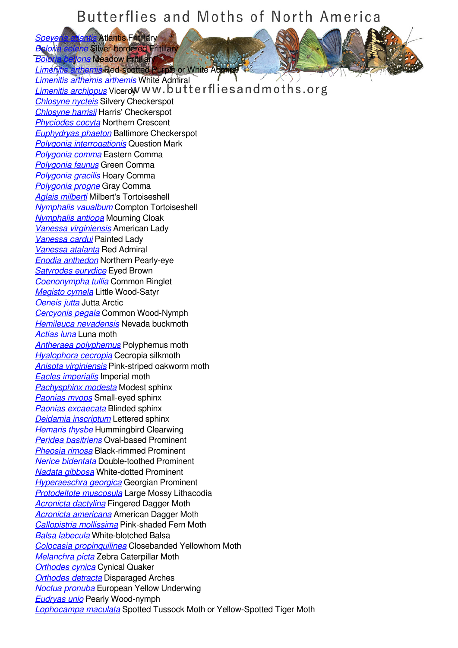## Butterflies and Moths of North America

*[Speyeria atlantis](/species/Speyeria-atlantis)* Atlantis Fritillary *[Boloria selene](/species/Boloria-selene)* Silver-bordered Fritillary *Bellona* **Meadow Fritillary** *[Limenitis arthemis](/species/Limenitis-arthemis)* Red-spotted Purple or White Admiral *[Limenitis arthemis arthemis](/species/Limenitis-arthemis-arthemis)* White Admiral *[Limenitis archippus](/species/Limenitis-archippus)* Vicerow ww.butterfliesandmoths.org *[Chlosyne nycteis](/species/Chlosyne-nycteis)* Silvery Checkerspot *[Chlosyne harrisii](/species/Chlosyne-harrisii)* Harris' Checkerspot *[Phyciodes cocyta](/species/Phyciodes-cocyta)* Northern Crescent *[Euphydryas phaeton](/species/Euphydryas-phaeton)* Baltimore Checkerspot *[Polygonia interrogationis](/species/Polygonia-interrogationis)* Question Mark *[Polygonia comma](/species/Polygonia-comma)* Eastern Comma *[Polygonia faunus](/species/Polygonia-faunus)* Green Comma *[Polygonia gracilis](/species/Polygonia-gracilis)* Hoary Comma *[Polygonia progne](/species/Polygonia-progne)* Gray Comma *[Aglais milberti](/species/Aglais-milberti)* Milbert's Tortoiseshell *[Nymphalis vaualbum](/species/Nymphalis-vaualbum)* Compton Tortoiseshell *[Nymphalis antiopa](/species/Nymphalis-antiopa)* Mourning Cloak *[Vanessa virginiensis](/species/Vanessa-virginiensis)* American Lady *[Vanessa cardui](/species/Vanessa-cardui)* Painted Lady *[Vanessa atalanta](/species/Vanessa-atalanta)* Red Admiral *[Enodia anthedon](/species/Enodia-anthedon)* Northern Pearly-eye *[Satyrodes eurydice](/species/Satyrodes-eurydice)* Eyed Brown *[Coenonympha tullia](/species/Coenonympha-tullia)* Common Ringlet *[Megisto cymela](/species/Megisto-cymela)* Little Wood-Satyr *[Oeneis jutta](/species/Oeneis-jutta)* Jutta Arctic *[Cercyonis pegala](/species/Cercyonis-pegala)* Common Wood-Nymph *[Hemileuca nevadensis](/species/Hemileuca-nevadensis)* Nevada buckmoth *[Actias luna](/species/Actias-luna)* Luna moth *[Antheraea polyphemus](/species/Antheraea-polyphemus)* Polyphemus moth *[Hyalophora cecropia](/species/Hyalophora-cecropia)* Cecropia silkmoth *[Anisota virginiensis](/species/Anisota-virginiensis)* Pink-striped oakworm moth *[Eacles imperialis](/species/Eacles-imperialis)* Imperial moth *[Pachysphinx modesta](/species/Pachysphinx-modesta)* Modest sphinx *[Paonias myops](/species/Paonias-myops)* Small-eyed sphinx *[Paonias excaecata](/species/Paonias-excaecata)* Blinded sphinx *[Deidamia inscriptum](/species/Deidamia-inscriptum)* Lettered sphinx *[Hemaris thysbe](/species/Hemaris-thysbe)* Hummingbird Clearwing *[Peridea basitriens](/species/Peridea-basitriens)* Oval-based Prominent *[Pheosia rimosa](/species/Pheosia-rimosa)* Black-rimmed Prominent *[Nerice bidentata](/species/Nerice-bidentata)* Double-toothed Prominent *[Nadata gibbosa](/species/Nadata-gibbosa)* White-dotted Prominent *[Hyperaeschra georgica](/species/Hyperaeschra-georgica)* Georgian Prominent *[Protodeltote muscosula](/species/Protodeltote-muscosula)* Large Mossy Lithacodia *[Acronicta dactylina](/species/Acronicta-dactylina)* Fingered Dagger Moth *[Acronicta americana](/species/Acronicta-americana)* American Dagger Moth *[Callopistria mollissima](/species/Callopistria-mollissima)* Pink-shaded Fern Moth *[Balsa labecula](/species/Balsa-labecula)* White-blotched Balsa *[Colocasia propinquilinea](/species/Colocasia-propinquilinea)* Closebanded Yellowhorn Moth *[Melanchra picta](/species/Melanchra-picta)* Zebra Caterpillar Moth *[Orthodes cynica](/species/Orthodes-cynica)* Cynical Quaker *[Orthodes detracta](/species/Orthodes-detracta)* Disparaged Arches *[Noctua pronuba](/species/Noctua-pronuba)* European Yellow Underwing *[Eudryas unio](/species/Eudryas-unio)* Pearly Wood-nymph *[Lophocampa maculata](/species/Lophocampa-maculata)* Spotted Tussock Moth or Yellow-Spotted Tiger Moth